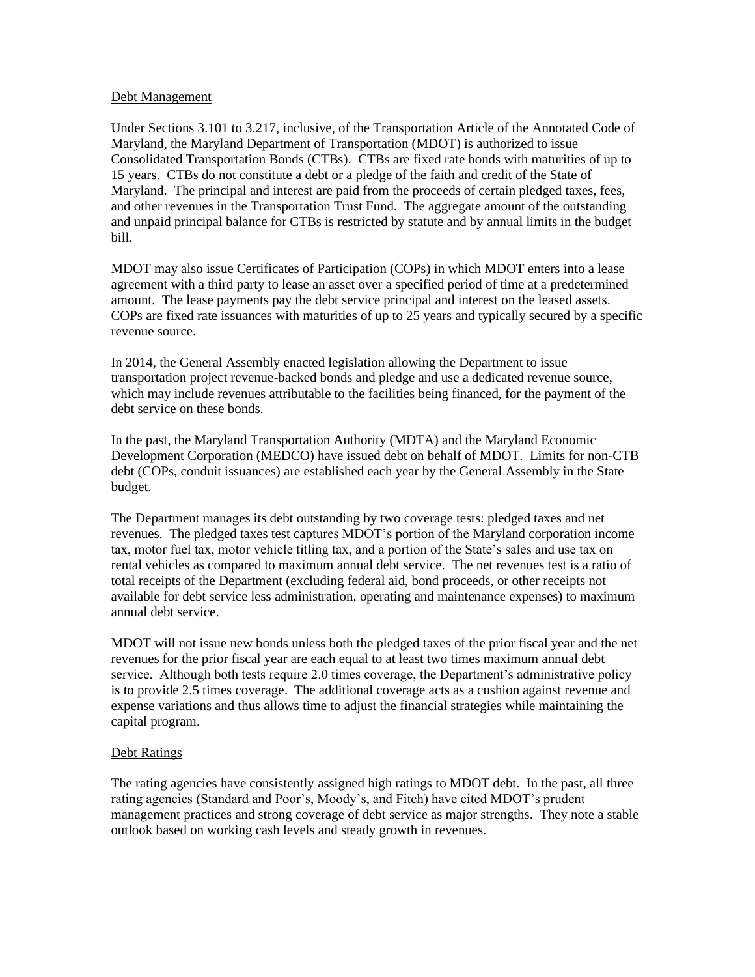## Debt Management

Under Sections 3.101 to 3.217, inclusive, of the Transportation Article of the Annotated Code of Maryland, the Maryland Department of Transportation (MDOT) is authorized to issue Consolidated Transportation Bonds (CTBs). CTBs are fixed rate bonds with maturities of up to 15 years. CTBs do not constitute a debt or a pledge of the faith and credit of the State of Maryland. The principal and interest are paid from the proceeds of certain pledged taxes, fees, and other revenues in the Transportation Trust Fund. The aggregate amount of the outstanding and unpaid principal balance for CTBs is restricted by statute and by annual limits in the budget bill.

MDOT may also issue Certificates of Participation (COPs) in which MDOT enters into a lease agreement with a third party to lease an asset over a specified period of time at a predetermined amount. The lease payments pay the debt service principal and interest on the leased assets. COPs are fixed rate issuances with maturities of up to 25 years and typically secured by a specific revenue source.

In 2014, the General Assembly enacted legislation allowing the Department to issue transportation project revenue-backed bonds and pledge and use a dedicated revenue source, which may include revenues attributable to the facilities being financed, for the payment of the debt service on these bonds.

In the past, the Maryland Transportation Authority (MDTA) and the Maryland Economic Development Corporation (MEDCO) have issued debt on behalf of MDOT. Limits for non-CTB debt (COPs, conduit issuances) are established each year by the General Assembly in the State budget.

The Department manages its debt outstanding by two coverage tests: pledged taxes and net revenues. The pledged taxes test captures MDOT's portion of the Maryland corporation income tax, motor fuel tax, motor vehicle titling tax, and a portion of the State's sales and use tax on rental vehicles as compared to maximum annual debt service. The net revenues test is a ratio of total receipts of the Department (excluding federal aid, bond proceeds, or other receipts not available for debt service less administration, operating and maintenance expenses) to maximum annual debt service.

MDOT will not issue new bonds unless both the pledged taxes of the prior fiscal year and the net revenues for the prior fiscal year are each equal to at least two times maximum annual debt service. Although both tests require 2.0 times coverage, the Department's administrative policy is to provide 2.5 times coverage. The additional coverage acts as a cushion against revenue and expense variations and thus allows time to adjust the financial strategies while maintaining the capital program.

## Debt Ratings

The rating agencies have consistently assigned high ratings to MDOT debt. In the past, all three rating agencies (Standard and Poor's, Moody's, and Fitch) have cited MDOT's prudent management practices and strong coverage of debt service as major strengths. They note a stable outlook based on working cash levels and steady growth in revenues.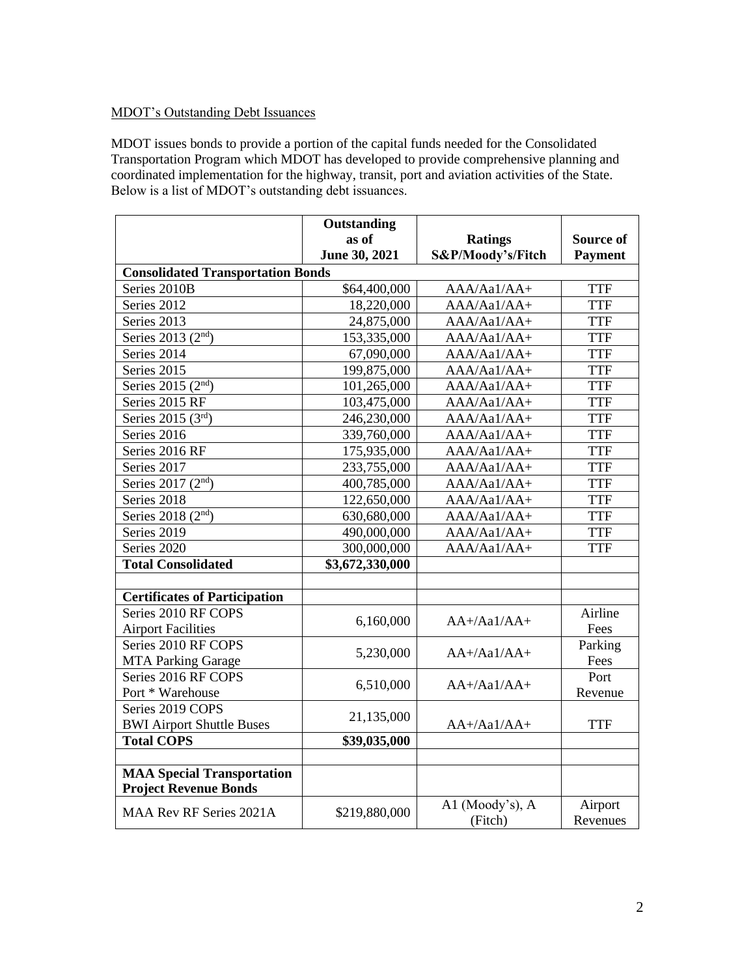## MDOT's Outstanding Debt Issuances

MDOT issues bonds to provide a portion of the capital funds needed for the Consolidated Transportation Program which MDOT has developed to provide comprehensive planning and coordinated implementation for the highway, transit, port and aviation activities of the State. Below is a list of MDOT's outstanding debt issuances.

|                                          | Outstanding     |                   |                |  |
|------------------------------------------|-----------------|-------------------|----------------|--|
|                                          | as of           | <b>Ratings</b>    | Source of      |  |
|                                          | June 30, 2021   | S&P/Moody's/Fitch | <b>Payment</b> |  |
| <b>Consolidated Transportation Bonds</b> |                 |                   |                |  |
| Series 2010B                             | \$64,400,000    | AAA/Aa1/AA+       | <b>TTF</b>     |  |
| Series 2012                              | 18,220,000      | $AAA/Aa1/AA+$     | <b>TTF</b>     |  |
| Series 2013                              | 24,875,000      | AAA/Aa1/AA+       | <b>TTF</b>     |  |
| Series 2013 (2 <sup>nd</sup> )           | 153,335,000     | $AAA/Aa1/AA+$     | <b>TTF</b>     |  |
| Series 2014                              | 67,090,000      | AAA/Aa1/AA+       | <b>TTF</b>     |  |
| Series 2015                              | 199,875,000     | AAA/Aa1/AA+       | <b>TTF</b>     |  |
| Series 2015 (2 <sup>nd</sup> )           | 101,265,000     | $AAA/Aa1/AA+$     | <b>TTF</b>     |  |
| Series 2015 RF                           | 103,475,000     | AAA/Aa1/AA+       | <b>TTF</b>     |  |
| Series 2015 (3rd)                        | 246,230,000     | $AAA/Aa1/AA+$     | <b>TTF</b>     |  |
| Series 2016                              | 339,760,000     | AAA/Aa1/AA+       | <b>TTF</b>     |  |
| Series 2016 RF                           | 175,935,000     | AAA/Aa1/AA+       | <b>TTF</b>     |  |
| Series 2017                              | 233,755,000     | $AAA/Aa1/AA+$     | <b>TTF</b>     |  |
| Series 2017 (2 <sup>nd</sup> )           | 400,785,000     | AAA/Aa1/AA+       | <b>TTF</b>     |  |
| Series 2018                              | 122,650,000     | AAA/Aa1/AA+       | <b>TTF</b>     |  |
| Series 2018 (2 <sup>nd</sup> )           | 630,680,000     | AAA/Aa1/AA+       | <b>TTF</b>     |  |
| Series 2019                              | 490,000,000     | AAA/Aa1/AA+       | <b>TTF</b>     |  |
| Series 2020                              | 300,000,000     | AAA/Aa1/AA+       | <b>TTF</b>     |  |
| <b>Total Consolidated</b>                | \$3,672,330,000 |                   |                |  |
|                                          |                 |                   |                |  |
| <b>Certificates of Participation</b>     |                 |                   |                |  |
| Series 2010 RF COPS                      | 6,160,000       | $AA+/Aa1/AA+$     | Airline        |  |
| <b>Airport Facilities</b>                |                 |                   | Fees           |  |
| Series 2010 RF COPS                      | 5,230,000       | $AA+/Aa1/AA+$     | Parking        |  |
| <b>MTA Parking Garage</b>                |                 |                   | Fees           |  |
| Series 2016 RF COPS                      | 6,510,000       | $AA+/Aa1/AA+$     | Port           |  |
| Port * Warehouse                         |                 |                   | Revenue        |  |
| Series 2019 COPS                         | 21,135,000      |                   |                |  |
| <b>BWI Airport Shuttle Buses</b>         |                 | $AA+/Aa1/AA+$     | <b>TTF</b>     |  |
| <b>Total COPS</b>                        | \$39,035,000    |                   |                |  |
|                                          |                 |                   |                |  |
| <b>MAA</b> Special Transportation        |                 |                   |                |  |
| <b>Project Revenue Bonds</b>             |                 |                   |                |  |
| MAA Rev RF Series 2021A                  | \$219,880,000   | A1 (Moody's), A   | Airport        |  |
|                                          |                 | (Fitch)           | Revenues       |  |